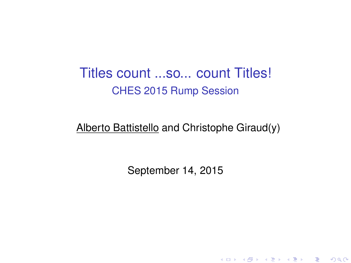# Titles count ...so... count Titles! CHES 2015 Rump Session

#### Alberto Battistello and Christophe Giraud(y)

September 14, 2015

K ロ ▶ K @ ▶ K 할 ▶ K 할 ▶ 이 할 → 900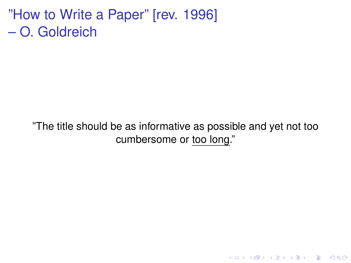## "How to Write a Paper" [rev. 1996] – O. Goldreich

### "The title should be as informative as possible and yet not too cumbersome or too long."

K ロ ▶ K @ ▶ K 할 ▶ K 할 ▶ 이 할 → 9 Q Q\*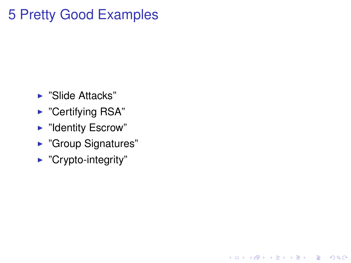# 5 Pretty Good Examples

- $\blacktriangleright$  "Slide Attacks"
- $\triangleright$  "Certifying RSA"
- ► "Identity Escrow"
- ► "Group Signatures"

K ロ > K 個 > K 差 > K 差 > → 差 → の Q Q →

 $\blacktriangleright$  "Crypto-integrity"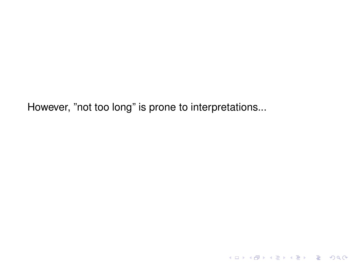However, "not too long" is prone to interpretations...

K ロ X x (日 X X B X X B X X B X O Q O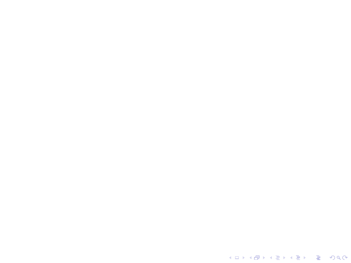KOKK@KKEKKEK E 1990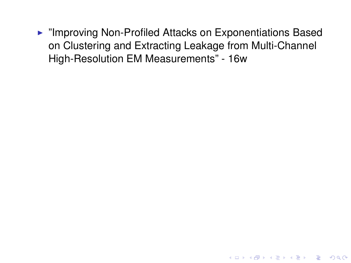▶ "Improving Non-Profiled Attacks on Exponentiations Based on Clustering and Extracting Leakage from Multi-Channel High-Resolution EM Measurements" - 16w

K ロ X x 4 D X X 원 X X 원 X 원 X 2 D X Q Q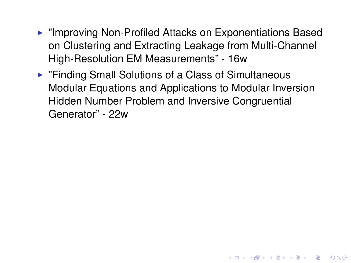- ▶ "Improving Non-Profiled Attacks on Exponentiations Based on Clustering and Extracting Leakage from Multi-Channel High-Resolution EM Measurements" - 16w
- $\triangleright$  "Finding Small Solutions of a Class of Simultaneous Modular Equations and Applications to Modular Inversion Hidden Number Problem and Inversive Congruential Generator" - 22w

**KOD KOD KED KED E VAN**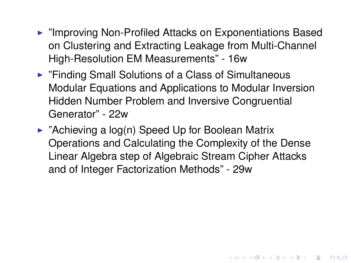- ▶ "Improving Non-Profiled Attacks on Exponentiations Based on Clustering and Extracting Leakage from Multi-Channel High-Resolution EM Measurements" - 16w
- ▶ "Finding Small Solutions of a Class of Simultaneous Modular Equations and Applications to Modular Inversion Hidden Number Problem and Inversive Congruential Generator" - 22w
- $\triangleright$  "Achieving a log(n) Speed Up for Boolean Matrix Operations and Calculating the Complexity of the Dense Linear Algebra step of Algebraic Stream Cipher Attacks and of Integer Factorization Methods" - 29w

**KORK ERKEY EL POLO**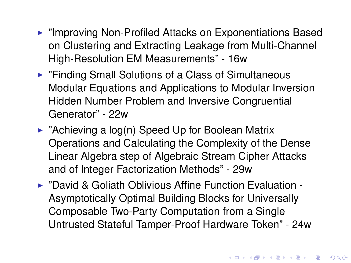- ▶ "Improving Non-Profiled Attacks on Exponentiations Based on Clustering and Extracting Leakage from Multi-Channel High-Resolution EM Measurements" - 16w
- $\triangleright$  "Finding Small Solutions of a Class of Simultaneous Modular Equations and Applications to Modular Inversion Hidden Number Problem and Inversive Congruential Generator" - 22w
- $\triangleright$  "Achieving a log(n) Speed Up for Boolean Matrix Operations and Calculating the Complexity of the Dense Linear Algebra step of Algebraic Stream Cipher Attacks and of Integer Factorization Methods" - 29w
- ► "David & Goliath Oblivious Affine Function Evaluation -Asymptotically Optimal Building Blocks for Universally Composable Two-Party Computation from a Single Untrusted Stateful Tamper-Proof Hardware Token" - 24w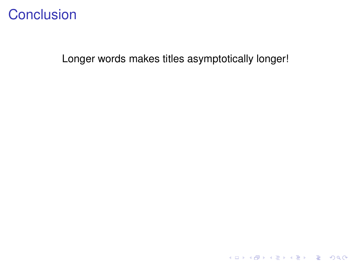### **Conclusion**

Longer words makes titles asymptotically longer!